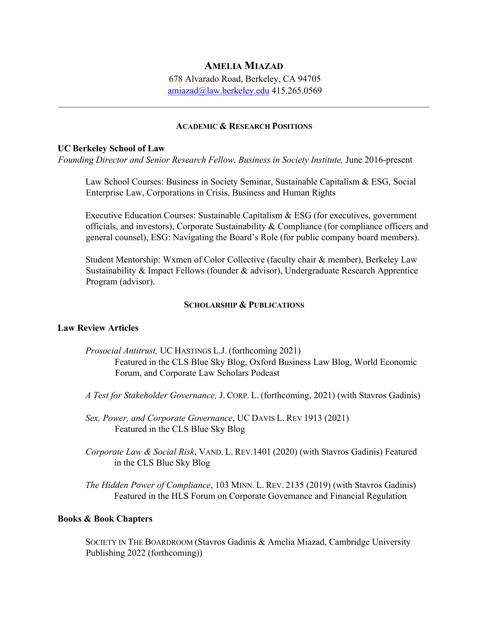# **AMELIA MIAZAD**

678 Alvarado Road, Berkeley, CA 94705 amiazad@law.berkeley.edu 415.265.0569

 $\mathcal{L}_\mathcal{L} = \mathcal{L}_\mathcal{L} = \mathcal{L}_\mathcal{L} = \mathcal{L}_\mathcal{L} = \mathcal{L}_\mathcal{L} = \mathcal{L}_\mathcal{L} = \mathcal{L}_\mathcal{L} = \mathcal{L}_\mathcal{L} = \mathcal{L}_\mathcal{L} = \mathcal{L}_\mathcal{L} = \mathcal{L}_\mathcal{L} = \mathcal{L}_\mathcal{L} = \mathcal{L}_\mathcal{L} = \mathcal{L}_\mathcal{L} = \mathcal{L}_\mathcal{L} = \mathcal{L}_\mathcal{L} = \mathcal{L}_\mathcal{L}$ 

#### **ACADEMIC & RESEARCH POSITIONS**

#### **UC Berkeley School of Law**

*Founding Director and Senior Research Fellow, Business in Society Institute,* June 2016-present

Law School Courses: Business in Society Seminar, Sustainable Capitalism & ESG, Social Enterprise Law, Corporations in Crisis, Business and Human Rights

Executive Education Courses: Sustainable Capitalism & ESG (for executives, government officials, and investors), Corporate Sustainability & Compliance (for compliance officers and general counsel), ESG: Navigating the Board's Role (for public company board members).

Student Mentorship: Wxmen of Color Collective (faculty chair & member), Berkeley Law Sustainability & Impact Fellows (founder & advisor), Undergraduate Research Apprentice Program (advisor).

#### **SCHOLARSHIP & PUBLICATIONS**

#### **Law Review Articles**

- *Prosocial Antitrust,* UC HASTINGS L.J. (forthcoming 2021) Featured in the CLS Blue Sky Blog, Oxford Business Law Blog, World Economic Forum, and Corporate Law Scholars Podcast
- *A Test for Stakeholder Governance,* J. CORP. L. (forthcoming, 2021) (with Stavros Gadinis)

*Sex, Power, and Corporate Governance*, UC DAVIS L. REV 1913 (2021) Featured in the CLS Blue Sky Blog

*Corporate Law & Social Risk*, VAND. L. REV.1401 (2020) (with Stavros Gadinis) Featured in the CLS Blue Sky Blog

*The Hidden Power of Compliance*, 103 MINN. L. REV. 2135 (2019) (with Stavros Gadinis) Featured in the HLS Forum on Corporate Governance and Financial Regulation

#### **Books & Book Chapters**

SOCIETY IN THE BOARDROOM (Stavros Gadinis & Amelia Miazad, Cambridge University Publishing 2022 (forthcoming))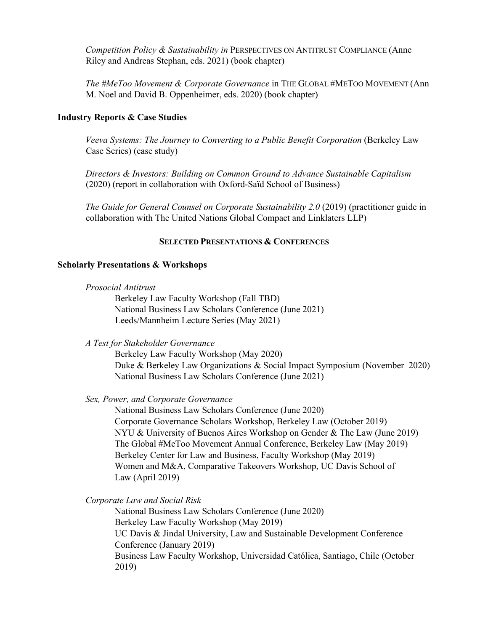*Competition Policy & Sustainability in* PERSPECTIVES ON ANTITRUST COMPLIANCE (Anne Riley and Andreas Stephan, eds. 2021) (book chapter)

*The #MeToo Movement & Corporate Governance* in THE GLOBAL #METOO MOVEMENT (Ann M. Noel and David B. Oppenheimer, eds. 2020) (book chapter)

### **Industry Reports & Case Studies**

*Veeva Systems: The Journey to Converting to a Public Benefit Corporation* (Berkeley Law Case Series) (case study)

*Directors & Investors: Building on Common Ground to Advance Sustainable Capitalism* (2020) (report in collaboration with Oxford-Saïd School of Business)

*The Guide for General Counsel on Corporate Sustainability 2.0* (2019) (practitioner guide in collaboration with The United Nations Global Compact and Linklaters LLP)

#### **SELECTED PRESENTATIONS & CONFERENCES**

#### **Scholarly Presentations & Workshops**

| Prosocial Antitrust |  |
|---------------------|--|
|---------------------|--|

Berkeley Law Faculty Workshop (Fall TBD) National Business Law Scholars Conference (June 2021) Leeds/Mannheim Lecture Series (May 2021)

*A Test for Stakeholder Governance*

Berkeley Law Faculty Workshop (May 2020) Duke & Berkeley Law Organizations & Social Impact Symposium (November 2020) National Business Law Scholars Conference (June 2021)

### *Sex, Power, and Corporate Governance*

National Business Law Scholars Conference (June 2020) Corporate Governance Scholars Workshop, Berkeley Law (October 2019) NYU & University of Buenos Aires Workshop on Gender & The Law (June 2019) The Global #MeToo Movement Annual Conference, Berkeley Law (May 2019) Berkeley Center for Law and Business, Faculty Workshop (May 2019) Women and M&A, Comparative Takeovers Workshop, UC Davis School of Law (April 2019)

*Corporate Law and Social Risk* 

National Business Law Scholars Conference (June 2020) Berkeley Law Faculty Workshop (May 2019) UC Davis & Jindal University, Law and Sustainable Development Conference Conference (January 2019) Business Law Faculty Workshop, Universidad Católica, Santiago, Chile (October 2019)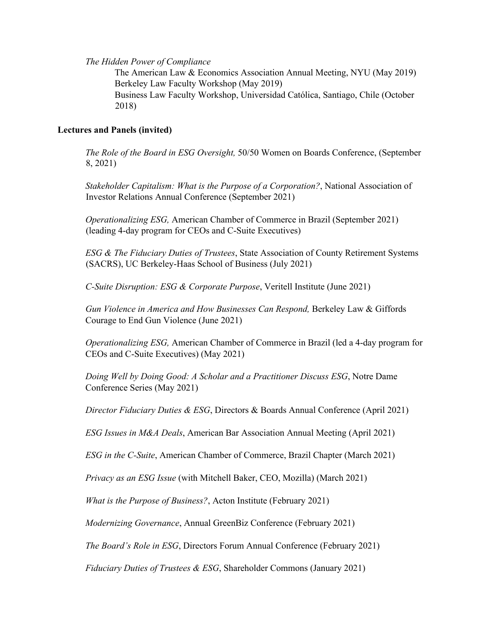*The Hidden Power of Compliance*

The American Law & Economics Association Annual Meeting, NYU (May 2019) Berkeley Law Faculty Workshop (May 2019) Business Law Faculty Workshop, Universidad Católica, Santiago, Chile (October 2018)

# **Lectures and Panels (invited)**

*The Role of the Board in ESG Oversight,* 50/50 Women on Boards Conference, (September 8, 2021)

*Stakeholder Capitalism: What is the Purpose of a Corporation?*, National Association of Investor Relations Annual Conference (September 2021)

*Operationalizing ESG,* American Chamber of Commerce in Brazil (September 2021) (leading 4-day program for CEOs and C-Suite Executives)

*ESG & The Fiduciary Duties of Trustees*, State Association of County Retirement Systems (SACRS), UC Berkeley-Haas School of Business (July 2021)

*C-Suite Disruption: ESG & Corporate Purpose*, Veritell Institute (June 2021)

*Gun Violence in America and How Businesses Can Respond,* Berkeley Law & Giffords Courage to End Gun Violence (June 2021)

*Operationalizing ESG,* American Chamber of Commerce in Brazil (led a 4-day program for CEOs and C-Suite Executives) (May 2021)

*Doing Well by Doing Good: A Scholar and a Practitioner Discuss ESG*, Notre Dame Conference Series (May 2021)

*Director Fiduciary Duties & ESG*, Directors & Boards Annual Conference (April 2021)

*ESG Issues in M&A Deals*, American Bar Association Annual Meeting (April 2021)

*ESG in the C-Suite*, American Chamber of Commerce, Brazil Chapter (March 2021)

*Privacy as an ESG Issue* (with Mitchell Baker, CEO, Mozilla) (March 2021)

*What is the Purpose of Business?*, Acton Institute (February 2021)

*Modernizing Governance*, Annual GreenBiz Conference (February 2021)

*The Board's Role in ESG*, Directors Forum Annual Conference (February 2021)

*Fiduciary Duties of Trustees & ESG*, Shareholder Commons (January 2021)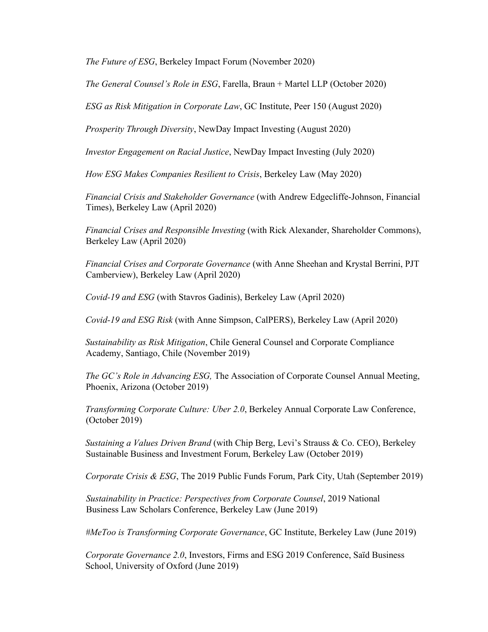*The Future of ESG*, Berkeley Impact Forum (November 2020)

*The General Counsel's Role in ESG*, Farella, Braun + Martel LLP (October 2020)

*ESG as Risk Mitigation in Corporate Law*, GC Institute, Peer 150 (August 2020)

*Prosperity Through Diversity*, NewDay Impact Investing (August 2020)

*Investor Engagement on Racial Justice*, NewDay Impact Investing (July 2020)

*How ESG Makes Companies Resilient to Crisis*, Berkeley Law (May 2020)

*Financial Crisis and Stakeholder Governance* (with Andrew Edgecliffe-Johnson, Financial Times), Berkeley Law (April 2020)

*Financial Crises and Responsible Investing* (with Rick Alexander, Shareholder Commons), Berkeley Law (April 2020)

*Financial Crises and Corporate Governance* (with Anne Sheehan and Krystal Berrini, PJT Camberview), Berkeley Law (April 2020)

*Covid-19 and ESG* (with Stavros Gadinis), Berkeley Law (April 2020)

*Covid-19 and ESG Risk* (with Anne Simpson, CalPERS), Berkeley Law (April 2020)

*Sustainability as Risk Mitigation*, Chile General Counsel and Corporate Compliance Academy, Santiago, Chile (November 2019)

*The GC's Role in Advancing ESG,* The Association of Corporate Counsel Annual Meeting, Phoenix, Arizona (October 2019)

*Transforming Corporate Culture: Uber 2.0*, Berkeley Annual Corporate Law Conference, (October 2019)

*Sustaining a Values Driven Brand* (with Chip Berg, Levi's Strauss & Co. CEO), Berkeley Sustainable Business and Investment Forum, Berkeley Law (October 2019)

*Corporate Crisis & ESG*, The 2019 Public Funds Forum, Park City, Utah (September 2019)

*Sustainability in Practice: Perspectives from Corporate Counsel*, 2019 National Business Law Scholars Conference, Berkeley Law (June 2019)

*#MeToo is Transforming Corporate Governance*, GC Institute, Berkeley Law (June 2019)

*Corporate Governance 2.0*, Investors, Firms and ESG 2019 Conference, Saïd Business School, University of Oxford (June 2019)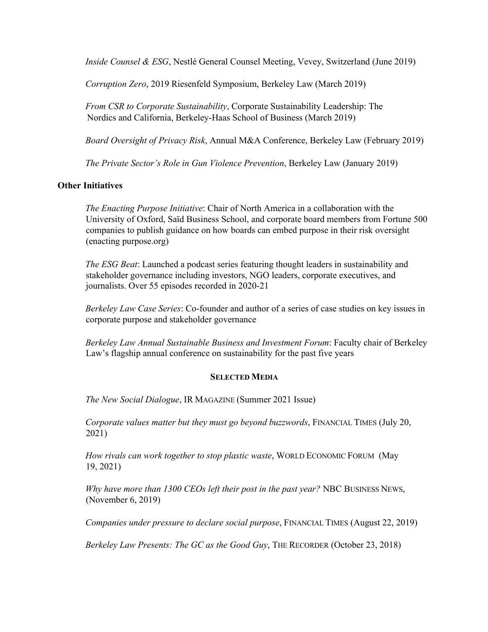*Inside Counsel & ESG*, Nestlé General Counsel Meeting, Vevey, Switzerland (June 2019)

*Corruption Zero*, 2019 Riesenfeld Symposium, Berkeley Law (March 2019)

*From CSR to Corporate Sustainability*, Corporate Sustainability Leadership: The Nordics and California, Berkeley-Haas School of Business (March 2019)

*Board Oversight of Privacy Risk*, Annual M&A Conference, Berkeley Law (February 2019)

*The Private Sector's Role in Gun Violence Prevention*, Berkeley Law (January 2019)

# **Other Initiatives**

*The Enacting Purpose Initiative*: Chair of North America in a collaboration with the University of Oxford, Saïd Business School, and corporate board members from Fortune 500 companies to publish guidance on how boards can embed purpose in their risk oversight (enacting purpose.org)

*The ESG Beat*: Launched a podcast series featuring thought leaders in sustainability and stakeholder governance including investors, NGO leaders, corporate executives, and journalists. Over 55 episodes recorded in 2020-21

*Berkeley Law Case Series*: Co-founder and author of a series of case studies on key issues in corporate purpose and stakeholder governance

*Berkeley Law Annual Sustainable Business and Investment Forum*: Faculty chair of Berkeley Law's flagship annual conference on sustainability for the past five years

# **SELECTED MEDIA**

*The New Social Dialogue*, IR MAGAZINE (Summer 2021 Issue)

*Corporate values matter but they must go beyond buzzwords*, FINANCIAL TIMES (July 20, 2021)

*How rivals can work together to stop plastic waste*, WORLD ECONOMIC FORUM (May 19, 2021)

*Why have more than 1300 CEOs left their post in the past year?* NBC BUSINESS NEWS, (November 6, 2019)

*Companies under pressure to declare social purpose*, FINANCIAL TIMES (August 22, 2019)

*Berkeley Law Presents: The GC as the Good Guy*, THE RECORDER (October 23, 2018)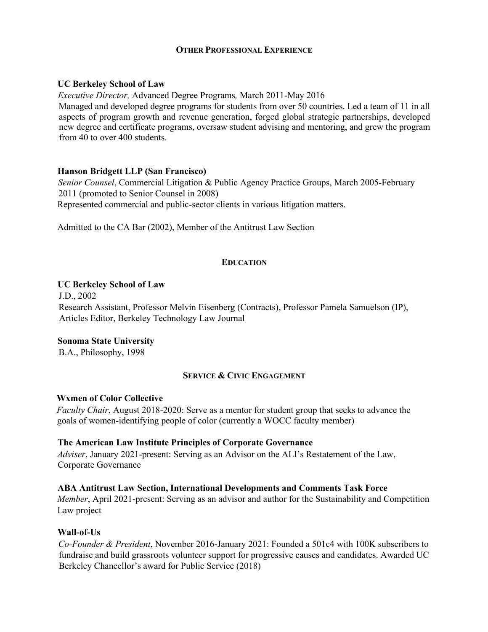# **OTHER PROFESSIONAL EXPERIENCE**

### **UC Berkeley School of Law**

*Executive Director,* Advanced Degree Programs*,* March 2011-May 2016

Managed and developed degree programs for students from over 50 countries. Led a team of 11 in all aspects of program growth and revenue generation, forged global strategic partnerships, developed new degree and certificate programs, oversaw student advising and mentoring, and grew the program from 40 to over 400 students.

### **Hanson Bridgett LLP (San Francisco)**

*Senior Counsel*, Commercial Litigation & Public Agency Practice Groups, March 2005-February 2011 (promoted to Senior Counsel in 2008) Represented commercial and public-sector clients in various litigation matters.

Admitted to the CA Bar (2002), Member of the Antitrust Law Section

### **EDUCATION**

#### **UC Berkeley School of Law**

J.D., 2002 Research Assistant, Professor Melvin Eisenberg (Contracts), Professor Pamela Samuelson (IP), Articles Editor, Berkeley Technology Law Journal

#### **Sonoma State University**

B.A., Philosophy, 1998

# **SERVICE & CIVIC ENGAGEMENT**

#### **Wxmen of Color Collective**

*Faculty Chair*, August 2018-2020: Serve as a mentor for student group that seeks to advance the goals of women-identifying people of color (currently a WOCC faculty member)

#### **The American Law Institute Principles of Corporate Governance**

*Adviser*, January 2021-present: Serving as an Advisor on the ALI's Restatement of the Law, Corporate Governance

#### **ABA Antitrust Law Section, International Developments and Comments Task Force**

*Member*, April 2021-present: Serving as an advisor and author for the Sustainability and Competition Law project

# **Wall-of-Us**

*Co-Founder & President*, November 2016-January 2021: Founded a 501c4 with 100K subscribers to fundraise and build grassroots volunteer support for progressive causes and candidates. Awarded UC Berkeley Chancellor's award for Public Service (2018)